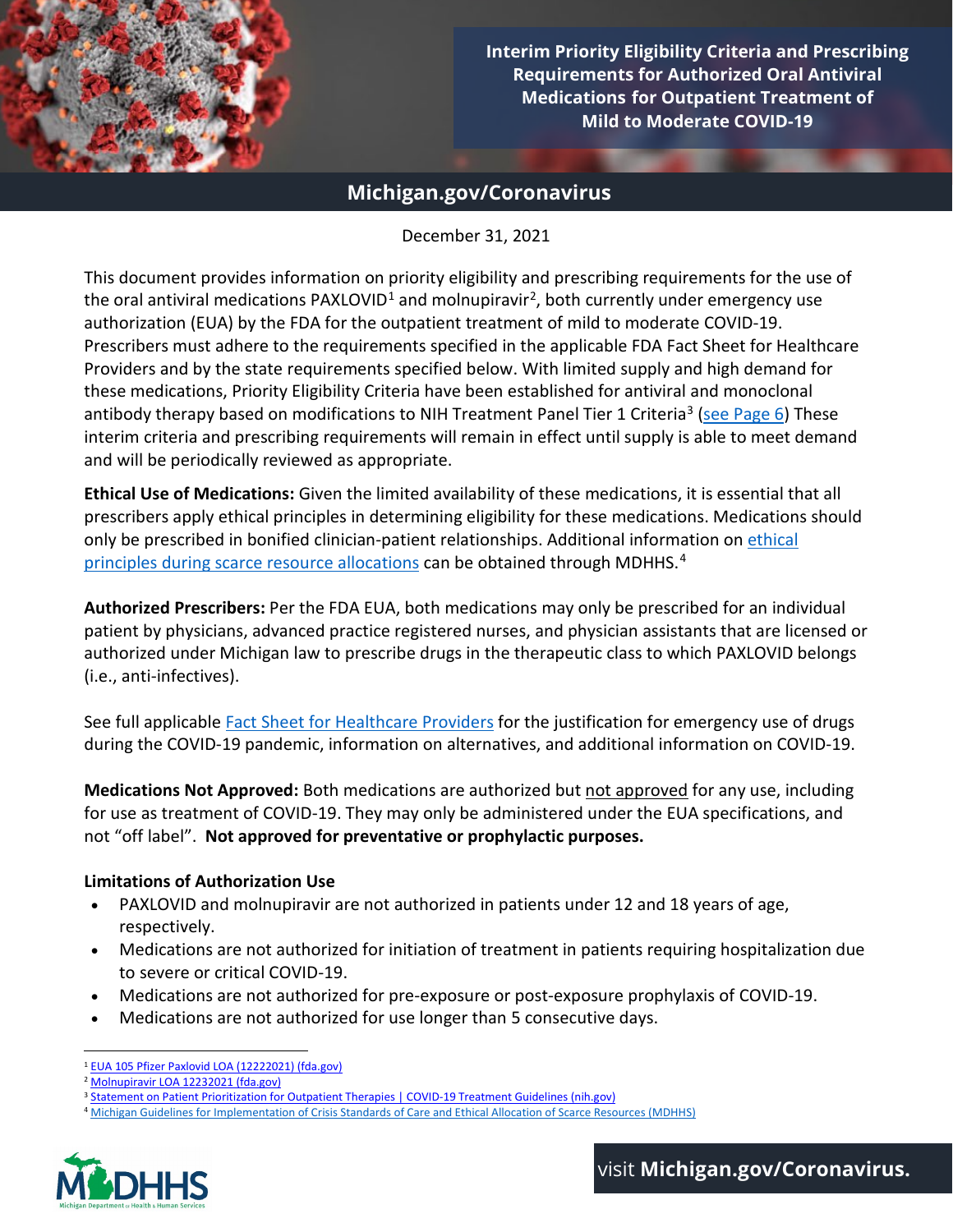

1 **Requirements for Authorized Oral Antiviral Interim Priority Eligibility Criteria and Prescribing Medications for Outpatient Treatment of Mild to Moderate COVID-19**

## **Michigan.gov/Coronavirus**

### December 31, 2021

This document provides information on priority eligibility and prescribing requirements for the use of the oral antiviral medications PAXLOVID<sup>1</sup> and molnupiravir<sup>2</sup>, both currently under emergency use authorization (EUA) by the FDA for the outpatient treatment of mild to moderate COVID-19. Prescribers must adhere to the requirements specified in the applicable FDA Fact Sheet for Healthcare Providers and by the state requirements specified below. With limited supply and high demand for these medications, Priority Eligibility Criteria have been established for antiviral and monoclonal antibody therapy based on modifications t[o NIH Treatment Panel Tier 1 Criteria](https://www.covid19treatmentguidelines.nih.gov/therapies/statement-on-patient-prioritization-for-outpatient-therapies/)<sup>[3](#page-0-2)</sup> [\(see Page 6\)](#page-5-0) These interim criteria and prescribing requirements will remain in effect until supply is able to meet demand and will be periodically reviewed as appropriate.

**Ethical Use of Medications:** Given the limited availability of these medications, it is essential that all prescribers apply ethical principles in determining eligibility for these medications. Medications should only be prescribed in bonified clinician-patient relationships. Additional information on [ethical](https://www.michigan.gov/documents/coronavirus/MDHHS_Ethical_Guidlines_-_November_30_2021_FINAL_12-6-21_743014_7.pdf)  [principles during scarce resource allocations](https://www.michigan.gov/documents/coronavirus/MDHHS_Ethical_Guidlines_-_November_30_2021_FINAL_12-6-21_743014_7.pdf) can be obtained through MDHHS.[4](#page-0-3)

**Authorized Prescribers:** Per the FDA EUA, both medications may only be prescribed for an individual patient by physicians, advanced practice registered nurses, and physician assistants that are licensed or authorized under Michigan law to prescribe drugs in the therapeutic class to which PAXLOVID belongs (i.e., anti-infectives).

See full applicable [Fact Sheet for Healthcare Providers](https://www.michigan.gov/coronavirus/0,9753,7-406-98178_106077_106091---,00.html) for the justification for emergency use of drugs during the COVID-19 pandemic, information on alternatives, and additional information on COVID-19.

**Medications Not Approved:** Both medications are authorized but not approved for any use, including for use as treatment of COVID-19. They may only be administered under the EUA specifications, and not "off label". **Not approved for preventative or prophylactic purposes.**

### **Limitations of Authorization Use**

- PAXLOVID and molnupiravir are not authorized in patients under 12 and 18 years of age, respectively.
- Medications are not authorized for initiation of treatment in patients requiring hospitalization due to severe or critical COVID-19.
- Medications are not authorized for pre-exposure or post-exposure prophylaxis of COVID-19.
- Medications are not authorized for use longer than 5 consecutive days.

<span id="page-0-3"></span><span id="page-0-2"></span><span id="page-0-1"></span><span id="page-0-0"></span><sup>4</sup> [Michigan Guidelines for Implementation of Crisis Standards of Care and Ethical Allocation of Scarce Resources \(MDHHS\)](https://www.michigan.gov/documents/coronavirus/MDHHS_Ethical_Guidlines_-_November_30_2021_FINAL_12-6-21_743014_7.pdf)



<sup>1</sup> [EUA 105 Pfizer Paxlovid LOA \(12222021\) \(fda.gov\)](https://www.fda.gov/media/155049/download)

<sup>2</sup> [Molnupiravir LOA 12232021 \(fda.gov\)](https://www.fda.gov/media/155053/download)

<sup>3</sup> [Statement on Patient Prioritization for Outpatient Therapies | COVID-19 Treatment Guidelines \(nih.gov\)](https://www.covid19treatmentguidelines.nih.gov/therapies/statement-on-patient-prioritization-for-outpatient-therapies/)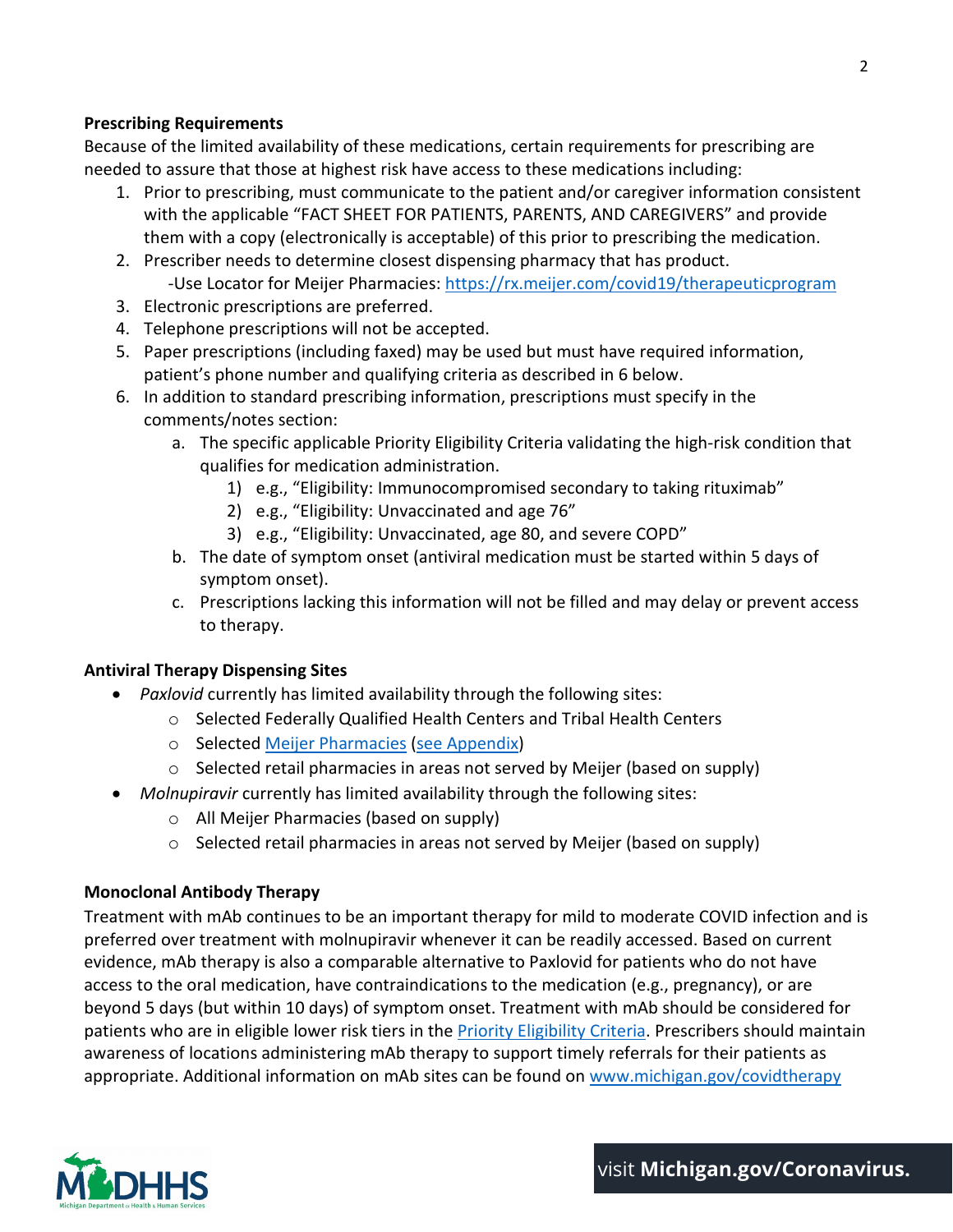### **Prescribing Requirements**

Because of the limited availability of these medications, certain requirements for prescribing are needed to assure that those at highest risk have access to these medications including:

- 1. Prior to prescribing, must communicate to the patient and/or caregiver information consistent with the applicable "FACT SHEET FOR PATIENTS, PARENTS, AND CAREGIVERS" and provide them with a copy (electronically is acceptable) of this prior to prescribing the medication.
- 2. Prescriber needs to determine closest dispensing pharmacy that has product. -Use Locator for Meijer Pharmacies:<https://rx.meijer.com/covid19/therapeuticprogram>
- 3. Electronic prescriptions are preferred.
- 4. Telephone prescriptions will not be accepted.
- 5. Paper prescriptions (including faxed) may be used but must have required information, patient's phone number and qualifying criteria as described in 6 below.
- 6. In addition to standard prescribing information, prescriptions must specify in the comments/notes section:
	- a. The specific applicable Priority Eligibility Criteria validating the high-risk condition that qualifies for medication administration.
		- 1) e.g., "Eligibility: Immunocompromised secondary to taking rituximab"
		- 2) e.g., "Eligibility: Unvaccinated and age 76"
		- 3) e.g., "Eligibility: Unvaccinated, age 80, and severe COPD"
	- b. The date of symptom onset (antiviral medication must be started within 5 days of symptom onset).
	- c. Prescriptions lacking this information will not be filled and may delay or prevent access to therapy.

## **Antiviral Therapy Dispensing Sites**

- *Paxlovid* currently has limited availability through the following sites:
	- o Selected Federally Qualified Health Centers and Tribal Health Centers
	- o Selected [Meijer Pharmacies](https://rx.meijer.com/covid19/therapeuticprogram) [\(see Appendix\)](#page-6-0)
	- o Selected retail pharmacies in areas not served by Meijer (based on supply)
- *Molnupiravir* currently has limited availability through the following sites:
	- o All Meijer Pharmacies (based on supply)
	- $\circ$  Selected retail pharmacies in areas not served by Meijer (based on supply)

### **Monoclonal Antibody Therapy**

Treatment with mAb continues to be an important therapy for mild to moderate COVID infection and is preferred over treatment with molnupiravir whenever it can be readily accessed. Based on current evidence, mAb therapy is also a comparable alternative to Paxlovid for patients who do not have access to the oral medication, have contraindications to the medication (e.g., pregnancy), or are beyond 5 days (but within 10 days) of symptom onset. Treatment with mAb should be considered for patients who are in eligible lower risk tiers in the [Priority Eligibility Criteria.](#page-5-0) Prescribers should maintain awareness of locations administering mAb therapy to support timely referrals for their patients as appropriate. Additional information on mAb sites can be found o[n www.michigan.gov/covidtherapy](http://www.michigan.gov/covidtherapy)

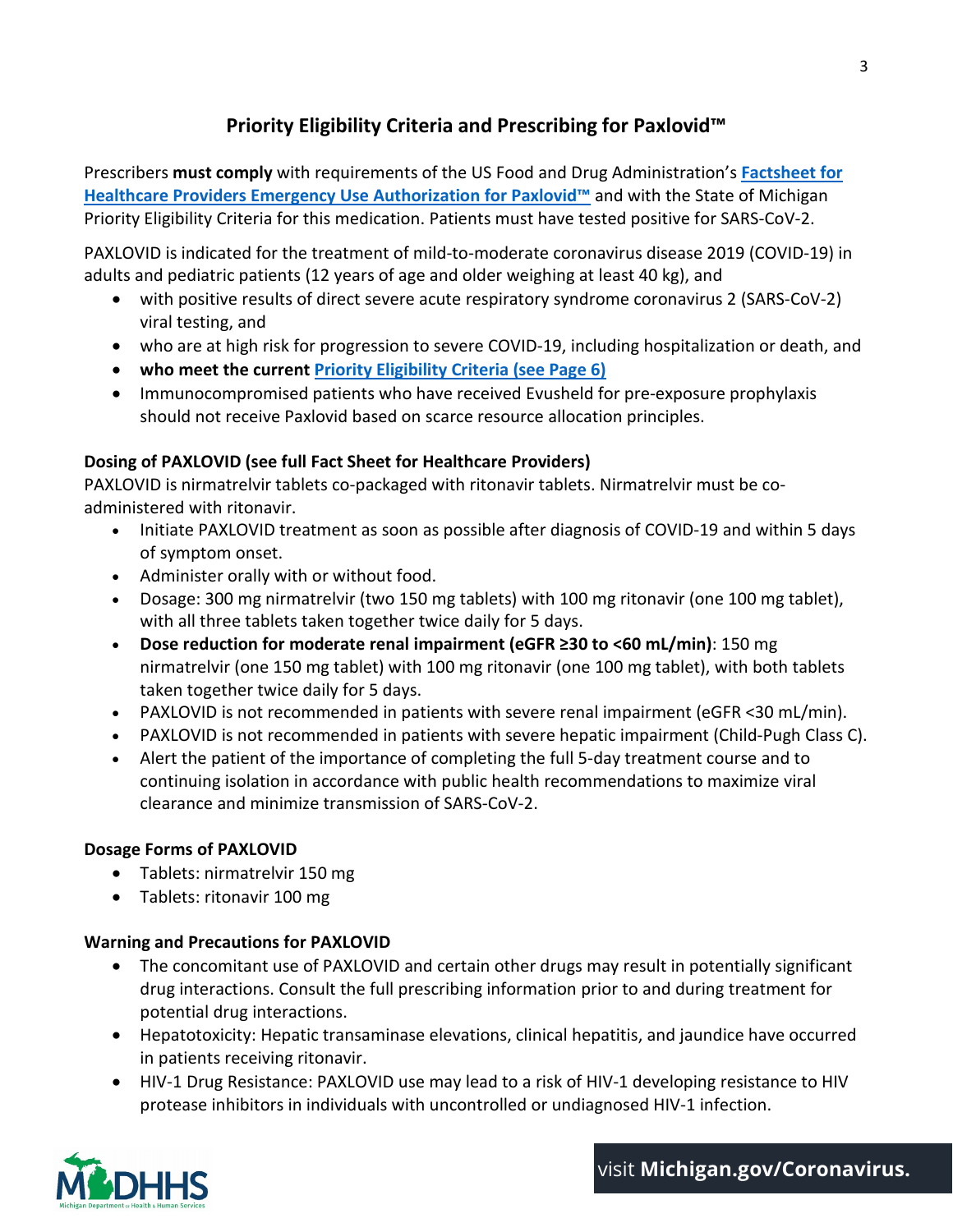## **Priority Eligibility Criteria and Prescribing for Paxlovid™**

Prescribers **must comply** with requirements of the US Food and Drug Administration's **[Factsheet for](https://www.fda.gov/media/155050/download)  [Healthcare Providers Emergency Use Authorization for Paxlovid™](https://www.fda.gov/media/155050/download)** and with the State of Michigan Priority Eligibility Criteria for this medication. Patients must have tested positive for SARS-CoV-2.

PAXLOVID is indicated for the treatment of mild-to-moderate coronavirus disease 2019 (COVID-19) in adults and pediatric patients (12 years of age and older weighing at least 40 kg), and

- with positive results of direct severe acute respiratory syndrome coronavirus 2 (SARS-CoV-2) viral testing, and
- who are at high risk for progression to severe COVID-19, including hospitalization or death, and
- **who meet the current [Priority Eligibility Criteria](#page-5-0) (see Page 6)**
- Immunocompromised patients who have received Evusheld for pre-exposure prophylaxis should not receive Paxlovid based on scarce resource allocation principles.

## **Dosing of PAXLOVID (see full Fact Sheet for Healthcare Providers)**

PAXLOVID is nirmatrelvir tablets co-packaged with ritonavir tablets. Nirmatrelvir must be coadministered with ritonavir.

- Initiate PAXLOVID treatment as soon as possible after diagnosis of COVID-19 and within 5 days of symptom onset.
- Administer orally with or without food.
- Dosage: 300 mg nirmatrelvir (two 150 mg tablets) with 100 mg ritonavir (one 100 mg tablet), with all three tablets taken together twice daily for 5 days.
- **Dose reduction for moderate renal impairment (eGFR ≥30 to <60 mL/min)**: 150 mg nirmatrelvir (one 150 mg tablet) with 100 mg ritonavir (one 100 mg tablet), with both tablets taken together twice daily for 5 days.
- PAXLOVID is not recommended in patients with severe renal impairment (eGFR <30 mL/min).
- PAXLOVID is not recommended in patients with severe hepatic impairment (Child-Pugh Class C).
- Alert the patient of the importance of completing the full 5-day treatment course and to continuing isolation in accordance with public health recommendations to maximize viral clearance and minimize transmission of SARS-CoV-2.

### **Dosage Forms of PAXLOVID**

- Tablets: nirmatrelvir 150 mg
- Tablets: ritonavir 100 mg

## **Warning and Precautions for PAXLOVID**

- The concomitant use of PAXLOVID and certain other drugs may result in potentially significant drug interactions. Consult the full prescribing information prior to and during treatment for potential drug interactions.
- Hepatotoxicity: Hepatic transaminase elevations, clinical hepatitis, and jaundice have occurred in patients receiving ritonavir.
- HIV-1 Drug Resistance: PAXLOVID use may lead to a risk of HIV-1 developing resistance to HIV protease inhibitors in individuals with uncontrolled or undiagnosed HIV-1 infection.

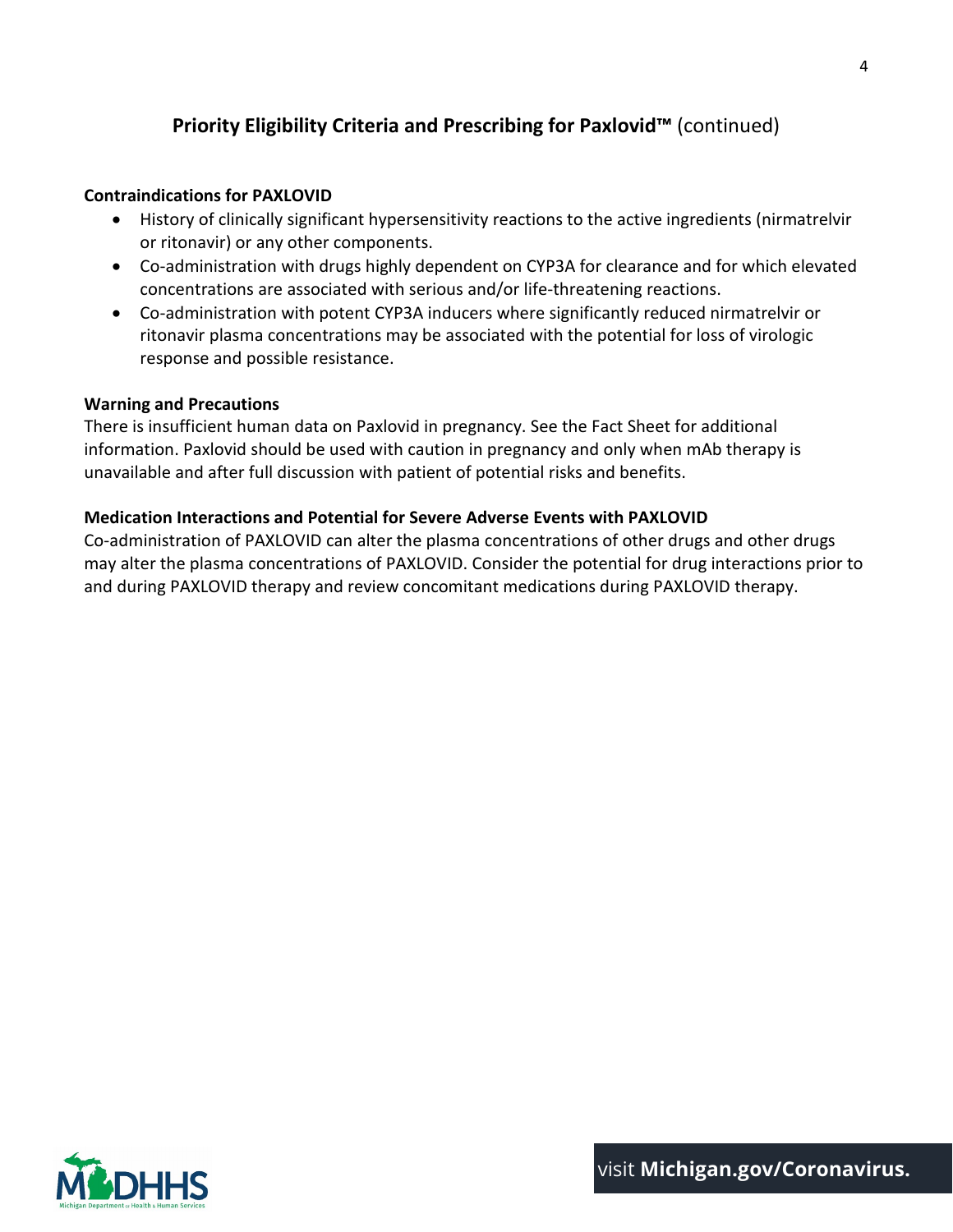## **Priority Eligibility Criteria and Prescribing for Paxlovid™** (continued)

### **Contraindications for PAXLOVID**

- History of clinically significant hypersensitivity reactions to the active ingredients (nirmatrelvir or ritonavir) or any other components.
- Co-administration with drugs highly dependent on CYP3A for clearance and for which elevated concentrations are associated with serious and/or life-threatening reactions.
- Co-administration with potent CYP3A inducers where significantly reduced nirmatrelvir or ritonavir plasma concentrations may be associated with the potential for loss of virologic response and possible resistance.

### **Warning and Precautions**

There is insufficient human data on Paxlovid in pregnancy. See the Fact Sheet for additional information. Paxlovid should be used with caution in pregnancy and only when mAb therapy is unavailable and after full discussion with patient of potential risks and benefits.

### **Medication Interactions and Potential for Severe Adverse Events with PAXLOVID**

Co-administration of PAXLOVID can alter the plasma concentrations of other drugs and other drugs may alter the plasma concentrations of PAXLOVID. Consider the potential for drug interactions prior to and during PAXLOVID therapy and review concomitant medications during PAXLOVID therapy.

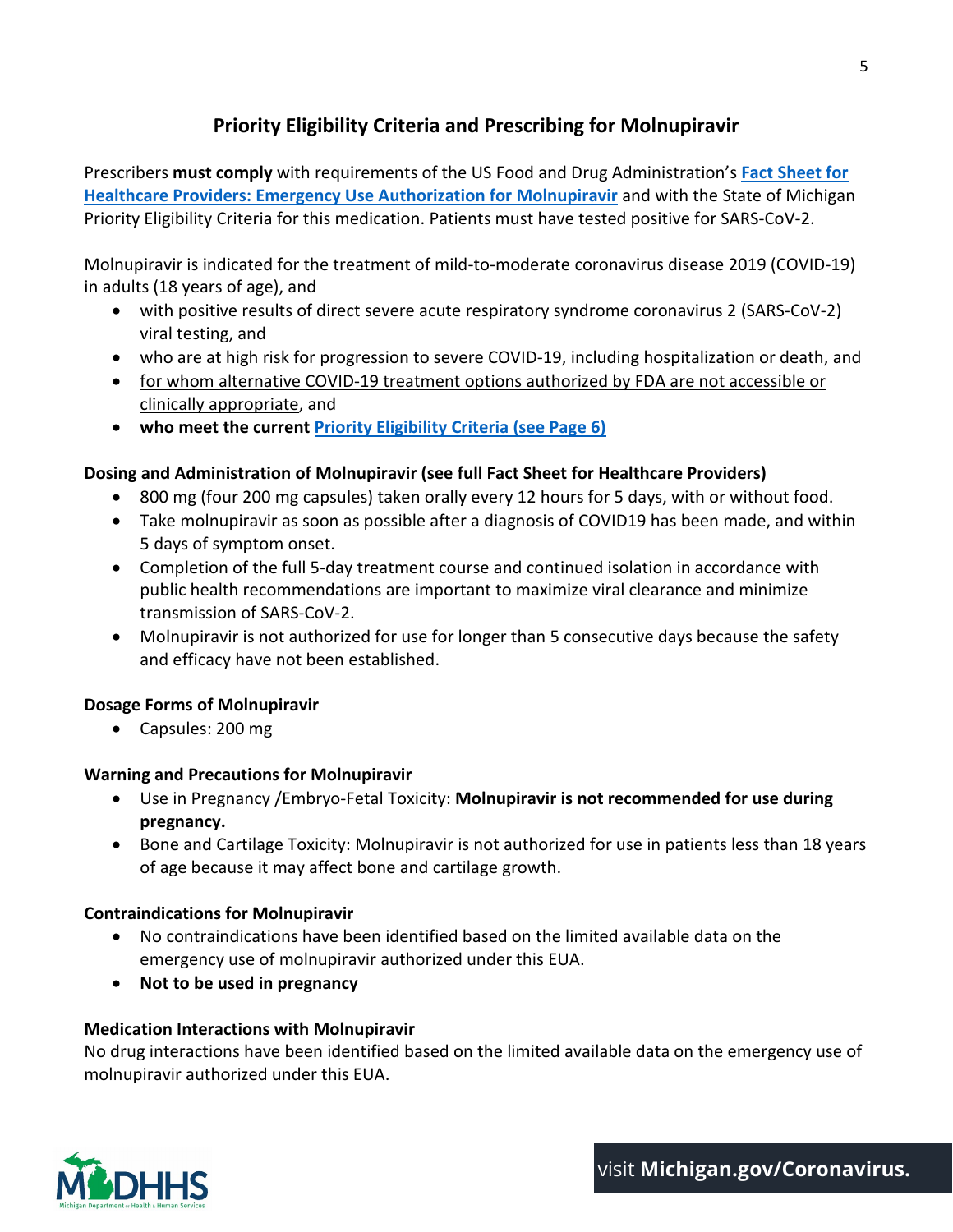## **Priority Eligibility Criteria and Prescribing for Molnupiravir**

Prescribers **must comply** with requirements of the US Food and Drug Administration's **[Fact Sheet for](https://www.fda.gov/media/155054/download)  [Healthcare Providers: Emergency Use Authorization for Molnupiravir](https://www.fda.gov/media/155054/download)** and with the State of Michigan Priority Eligibility Criteria for this medication. Patients must have tested positive for SARS-CoV-2.

Molnupiravir is indicated for the treatment of mild-to-moderate coronavirus disease 2019 (COVID-19) in adults (18 years of age), and

- with positive results of direct severe acute respiratory syndrome coronavirus 2 (SARS-CoV-2) viral testing, and
- who are at high risk for progression to severe COVID-19, including hospitalization or death, and
- for whom alternative COVID-19 treatment options authorized by FDA are not accessible or clinically appropriate, and
- **who meet the current [Priority Eligibility Criteria \(see Page 6\)](#page-5-0)**

## **Dosing and Administration of Molnupiravir (see full Fact Sheet for Healthcare Providers)**

- 800 mg (four 200 mg capsules) taken orally every 12 hours for 5 days, with or without food.
- Take molnupiravir as soon as possible after a diagnosis of COVID19 has been made, and within 5 days of symptom onset.
- Completion of the full 5-day treatment course and continued isolation in accordance with public health recommendations are important to maximize viral clearance and minimize transmission of SARS-CoV-2.
- Molnupiravir is not authorized for use for longer than 5 consecutive days because the safety and efficacy have not been established.

## **Dosage Forms of Molnupiravir**

• Capsules: 200 mg

## **Warning and Precautions for Molnupiravir**

- Use in Pregnancy /Embryo-Fetal Toxicity: **Molnupiravir is not recommended for use during pregnancy.**
- Bone and Cartilage Toxicity: Molnupiravir is not authorized for use in patients less than 18 years of age because it may affect bone and cartilage growth.

## **Contraindications for Molnupiravir**

- No contraindications have been identified based on the limited available data on the emergency use of molnupiravir authorized under this EUA.
- **Not to be used in pregnancy**

## **Medication Interactions with Molnupiravir**

No drug interactions have been identified based on the limited available data on the emergency use of molnupiravir authorized under this EUA.

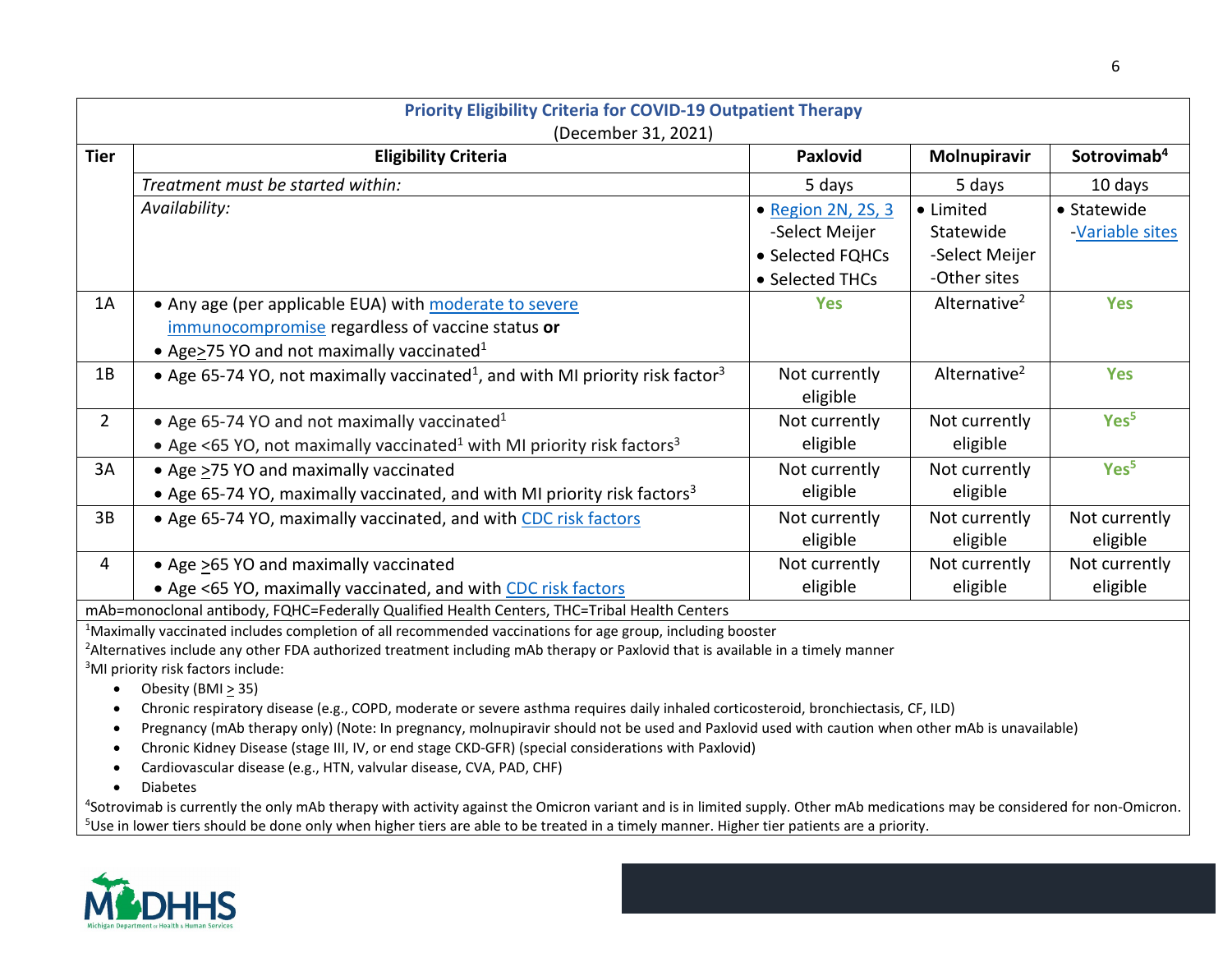<span id="page-5-0"></span>

| <b>Priority Eligibility Criteria for COVID-19 Outpatient Therapy</b><br>(December 31, 2021) |                                                                                                                                                                                               |                    |                          |                         |  |  |  |  |  |  |
|---------------------------------------------------------------------------------------------|-----------------------------------------------------------------------------------------------------------------------------------------------------------------------------------------------|--------------------|--------------------------|-------------------------|--|--|--|--|--|--|
| <b>Tier</b>                                                                                 | <b>Eligibility Criteria</b>                                                                                                                                                                   | <b>Paxlovid</b>    | Molnupiravir             | Sotrovimab <sup>4</sup> |  |  |  |  |  |  |
|                                                                                             | Treatment must be started within:                                                                                                                                                             | 5 days             | 5 days                   | 10 days                 |  |  |  |  |  |  |
|                                                                                             | Availability:                                                                                                                                                                                 | • Region 2N, 2S, 3 | • Limited                | • Statewide             |  |  |  |  |  |  |
|                                                                                             |                                                                                                                                                                                               | -Select Meijer     | Statewide                | -Variable sites         |  |  |  |  |  |  |
|                                                                                             |                                                                                                                                                                                               | • Selected FQHCs   | -Select Meijer           |                         |  |  |  |  |  |  |
|                                                                                             |                                                                                                                                                                                               | • Selected THCs    | -Other sites             |                         |  |  |  |  |  |  |
| 1A                                                                                          | • Any age (per applicable EUA) with moderate to severe                                                                                                                                        | <b>Yes</b>         | Alternative <sup>2</sup> | <b>Yes</b>              |  |  |  |  |  |  |
|                                                                                             | immunocompromise regardless of vaccine status or                                                                                                                                              |                    |                          |                         |  |  |  |  |  |  |
|                                                                                             | • Age $\geq$ 75 YO and not maximally vaccinated <sup>1</sup>                                                                                                                                  |                    |                          |                         |  |  |  |  |  |  |
| 1B                                                                                          | • Age 65-74 YO, not maximally vaccinated <sup>1</sup> , and with MI priority risk factor <sup>3</sup>                                                                                         | Not currently      | Alternative <sup>2</sup> | <b>Yes</b>              |  |  |  |  |  |  |
|                                                                                             |                                                                                                                                                                                               | eligible           |                          |                         |  |  |  |  |  |  |
| $\overline{2}$                                                                              | • Age 65-74 YO and not maximally vaccinated <sup>1</sup>                                                                                                                                      | Not currently      | Not currently            | Yes <sup>5</sup>        |  |  |  |  |  |  |
|                                                                                             | • Age <65 YO, not maximally vaccinated <sup>1</sup> with MI priority risk factors <sup>3</sup>                                                                                                | eligible           | eligible                 |                         |  |  |  |  |  |  |
| 3A                                                                                          | • Age >75 YO and maximally vaccinated                                                                                                                                                         | Not currently      | Not currently            | Yes <sup>5</sup>        |  |  |  |  |  |  |
|                                                                                             | • Age 65-74 YO, maximally vaccinated, and with MI priority risk factors <sup>3</sup>                                                                                                          | eligible           | eligible                 |                         |  |  |  |  |  |  |
| 3B                                                                                          | • Age 65-74 YO, maximally vaccinated, and with CDC risk factors                                                                                                                               | Not currently      | Not currently            | Not currently           |  |  |  |  |  |  |
|                                                                                             |                                                                                                                                                                                               | eligible           | eligible                 | eligible                |  |  |  |  |  |  |
| 4                                                                                           | • Age >65 YO and maximally vaccinated                                                                                                                                                         | Not currently      | Not currently            | Not currently           |  |  |  |  |  |  |
|                                                                                             | • Age <65 YO, maximally vaccinated, and with CDC risk factors                                                                                                                                 | eligible           | eligible                 | eligible                |  |  |  |  |  |  |
|                                                                                             | mAb=monoclonal antibody, FQHC=Federally Qualified Health Centers, THC=Tribal Health Centers                                                                                                   |                    |                          |                         |  |  |  |  |  |  |
|                                                                                             | <sup>1</sup> Maximally vaccinated includes completion of all recommended vaccinations for age group, including booster                                                                        |                    |                          |                         |  |  |  |  |  |  |
|                                                                                             | <sup>2</sup> Alternatives include any other FDA authorized treatment including mAb therapy or Paxlovid that is available in a timely manner<br><sup>3</sup> MI priority risk factors include: |                    |                          |                         |  |  |  |  |  |  |

• Obesity (BMI  $\geq$  35)

• Chronic respiratory disease (e.g., COPD, moderate or severe asthma requires daily inhaled corticosteroid, bronchiectasis, CF, ILD)

- Pregnancy (mAb therapy only) (Note: In pregnancy, molnupiravir should not be used and Paxlovid used with caution when other mAb is unavailable)
- Chronic Kidney Disease (stage III, IV, or end stage CKD-GFR) (special considerations with Paxlovid)
- Cardiovascular disease (e.g., HTN, valvular disease, CVA, PAD, CHF)
- Diabetes

<sup>4</sup>Sotrovimab is currently the only mAb therapy with activity against the Omicron variant and is in limited supply. Other mAb medications may be considered for non-Omicron. <sup>5</sup>Use in lower tiers should be done only when higher tiers are able to be treated in a timely manner. Higher tier patients are a priority.

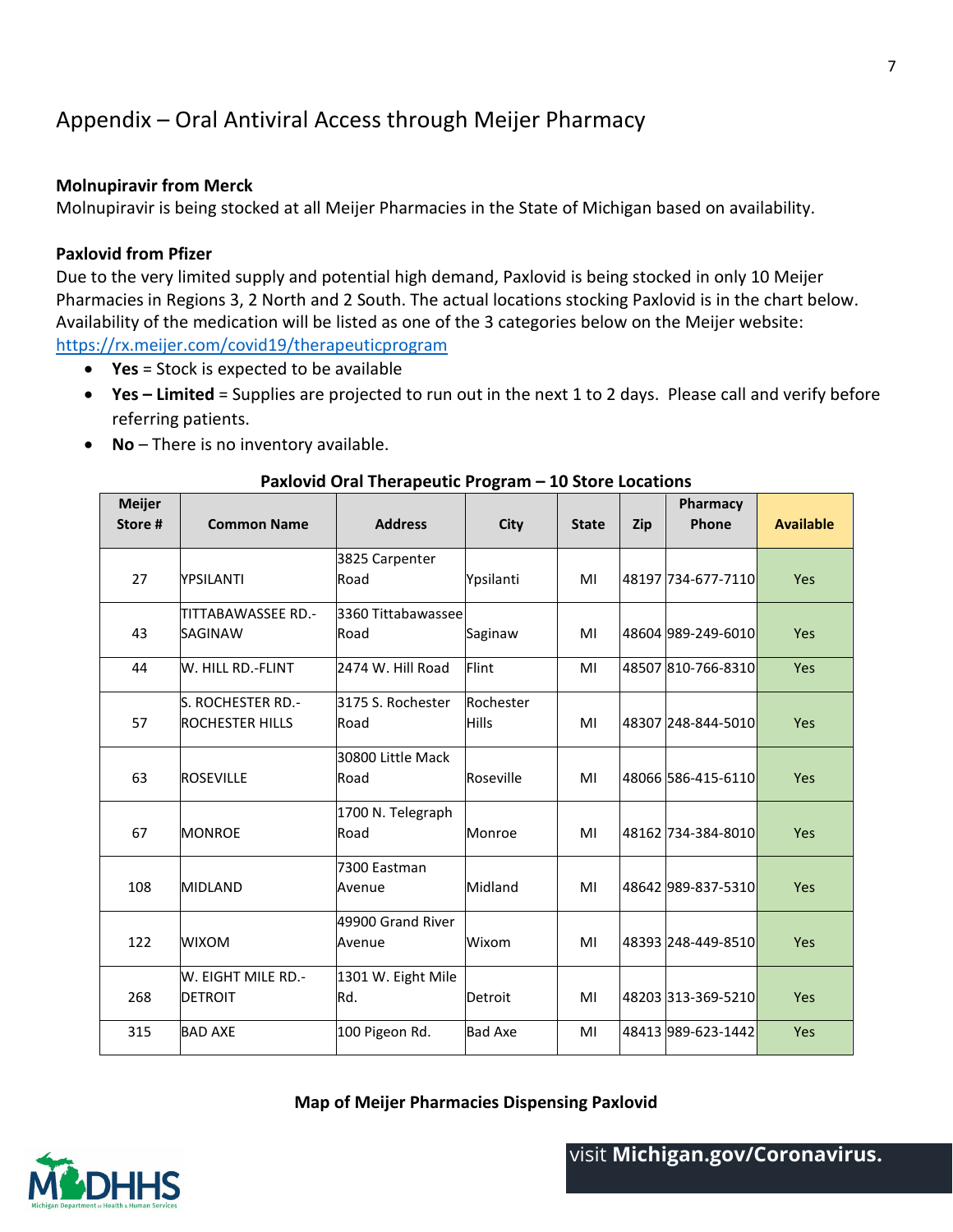# <span id="page-6-0"></span>Appendix – Oral Antiviral Access through Meijer Pharmacy

#### **Molnupiravir from Merck**

Molnupiravir is being stocked at all Meijer Pharmacies in the State of Michigan based on availability.

#### **Paxlovid from Pfizer**

Due to the very limited supply and potential high demand, Paxlovid is being stocked in only 10 Meijer Pharmacies in Regions 3, 2 North and 2 South. The actual locations stocking Paxlovid is in the chart below. Availability of the medication will be listed as one of the 3 categories below on the Meijer website: <https://rx.meijer.com/covid19/therapeuticprogram>

- **Yes** = Stock is expected to be available
- **Yes – Limited** = Supplies are projected to run out in the next 1 to 2 days. Please call and verify before referring patients.
- **No** There is no inventory available.

| <b>Meijer</b><br>Store# | <b>Common Name</b>     | <b>Address</b>     | <b>City</b>    | <b>State</b> | Zip | Pharmacy<br>Phone  | <b>Available</b> |
|-------------------------|------------------------|--------------------|----------------|--------------|-----|--------------------|------------------|
|                         |                        | 3825 Carpenter     |                |              |     |                    |                  |
| 27                      | YPSILANTI              | Road               | Ypsilanti      | MI           |     | 48197 734-677-7110 | Yes              |
|                         | TITTABAWASSEE RD.-     | 3360 Tittabawassee |                |              |     |                    |                  |
| 43                      | <b>SAGINAW</b>         | Road               | Saginaw        | MI           |     | 48604 989-249-6010 | Yes              |
| 44                      | W. HILL RD.-FLINT      | 2474 W. Hill Road  | Flint          | MI           |     | 48507 810-766-8310 | Yes              |
|                         | S. ROCHESTER RD.-      | 3175 S. Rochester  | Rochester      |              |     |                    |                  |
| 57                      | <b>ROCHESTER HILLS</b> | Road               | <b>Hills</b>   | MI           |     | 48307 248-844-5010 | Yes              |
|                         |                        | 30800 Little Mack  |                |              |     |                    |                  |
| 63                      | <b>ROSEVILLE</b>       | Road               | Roseville      | MI           |     | 48066 586-415-6110 | Yes              |
|                         |                        | 1700 N. Telegraph  |                |              |     |                    |                  |
| 67                      | <b>MONROE</b>          | Road               | Monroe         | MI           |     | 48162 734-384-8010 | Yes              |
|                         |                        | 7300 Eastman       |                |              |     |                    |                  |
| 108                     | <b>MIDLAND</b>         | Avenue             | Midland        | MI           |     | 48642 989-837-5310 | Yes              |
|                         |                        | 49900 Grand River  |                |              |     |                    |                  |
| 122                     | <b>WIXOM</b>           | Avenue             | Wixom          | MI           |     | 48393 248-449-8510 | Yes              |
|                         | W. EIGHT MILE RD.-     | 1301 W. Eight Mile |                |              |     |                    |                  |
| 268                     | <b>DETROIT</b>         | Rd.                | Detroit        | MI           |     | 48203 313-369-5210 | Yes              |
| 315                     | <b>BAD AXE</b>         | 100 Pigeon Rd.     | <b>Bad Axe</b> | MI           |     | 48413 989-623-1442 | Yes              |

#### **Paxlovid Oral Therapeutic Program – 10 Store Locations**

**Map of Meijer Pharmacies Dispensing Paxlovid**